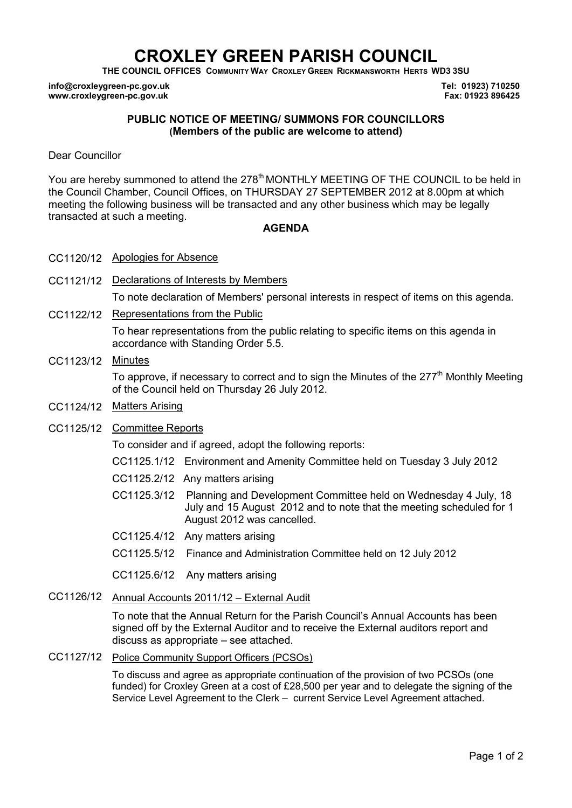# **CROXLEY GREEN PARISH COUNCIL**

**THE COUNCIL OFFICES COMMUNITY WAY CROXLEY GREEN RICKMANSWORTH HERTS WD3 3SU** 

**info@croxleygreen-pc.gov.uk www.croxleygreen-pc.gov.uk**

**Tel: 01923) 710250 Fax: 01923 896425**

#### **PUBLIC NOTICE OF MEETING/ SUMMONS FOR COUNCILLORS (Members of the public are welcome to attend)**

Dear Councillor

You are hereby summoned to attend the 278<sup>th</sup> MONTHLY MEETING OF THE COUNCIL to be held in the Council Chamber, Council Offices, on THURSDAY 27 SEPTEMBER 2012 at 8.00pm at which meeting the following business will be transacted and any other business which may be legally transacted at such a meeting.

#### **AGENDA**

- CC1120/12 Apologies for Absence
- CC1121/12 Declarations of Interests by Members To note declaration of Members' personal interests in respect of items on this agenda.
- CC1122/12 Representations from the Public

To hear representations from the public relating to specific items on this agenda in accordance with Standing Order 5.5.

#### CC1123/12 Minutes

To approve, if necessary to correct and to sign the Minutes of the  $277<sup>th</sup>$  Monthly Meeting of the Council held on Thursday 26 July 2012.

CC1124/12 Matters Arising

#### CC1125/12 Committee Reports

To consider and if agreed, adopt the following reports:

- CC1125.1/12 Environment and Amenity Committee held on Tuesday 3 July 2012
- CC1125.2/12 Any matters arising
- C CC1125.3/12 Planning and Development Committee held on Wednesday 4 July, 18 July and 15 August 2012 and to note that the meeting scheduled for 1 August 2012 was cancelled.
- CC1125.4/12 Any matters arising
- CC1125.5/12 Finance and Administration Committee held on 12 July 2012

CC1125.6/12 Any matters arising

#### CC1126/12 Annual Accounts 2011/12 – External Audit

To note that the Annual Return for the Parish Council's Annual Accounts has been signed off by the External Auditor and to receive the External auditors report and discuss as appropriate – see attached.

CC1127/12 Police Community Support Officers (PCSOs)

To discuss and agree as appropriate continuation of the provision of two PCSOs (one funded) for Croxley Green at a cost of £28,500 per year and to delegate the signing of the Service Level Agreement to the Clerk – current Service Level Agreement attached.